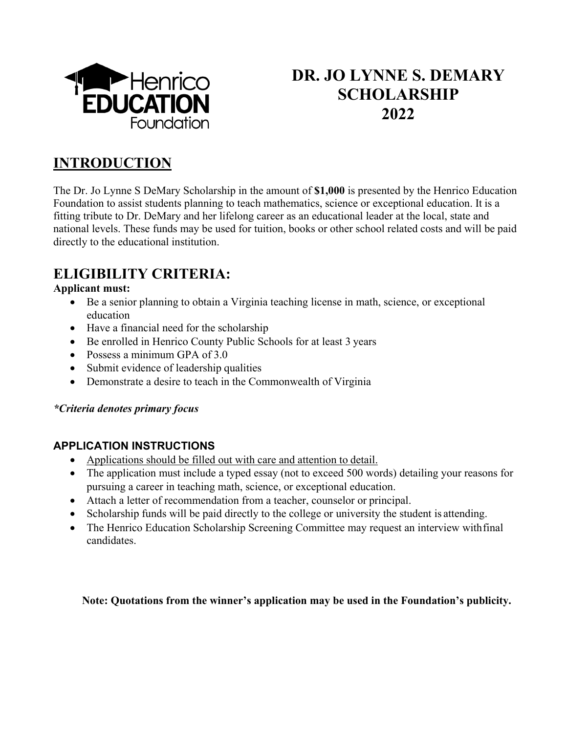

# **DR. JO LYNNE S. DEMARY SCHOLARSHIP 2022**

## **INTRODUCTION**

The Dr. Jo Lynne S DeMary Scholarship in the amount of **\$1,000** is presented by the Henrico Education Foundation to assist students planning to teach mathematics, science or exceptional education. It is a fitting tribute to Dr. DeMary and her lifelong career as an educational leader at the local, state and national levels. These funds may be used for tuition, books or other school related costs and will be paid directly to the educational institution.

## **ELIGIBILITY CRITERIA:**

## **Applicant must:**

- Be a senior planning to obtain a Virginia teaching license in math, science, or exceptional education
- Have a financial need for the scholarship
- Be enrolled in Henrico County Public Schools for at least 3 years
- Possess a minimum GPA of 3.0
- Submit evidence of leadership qualities
- Demonstrate a desire to teach in the Commonwealth of Virginia

### *\*Criteria denotes primary focus*

## **APPLICATION INSTRUCTIONS**

- Applications should be filled out with care and attention to detail.
- The application must include a typed essay (not to exceed 500 words) detailing your reasons for pursuing a career in teaching math, science, or exceptional education.
- Attach a letter of recommendation from a teacher, counselor or principal.
- Scholarship funds will be paid directly to the college or university the student is attending.
- The Henrico Education Scholarship Screening Committee may request an interview with final candidates.

**Note: Quotations from the winner's application may be used in the Foundation's publicity.**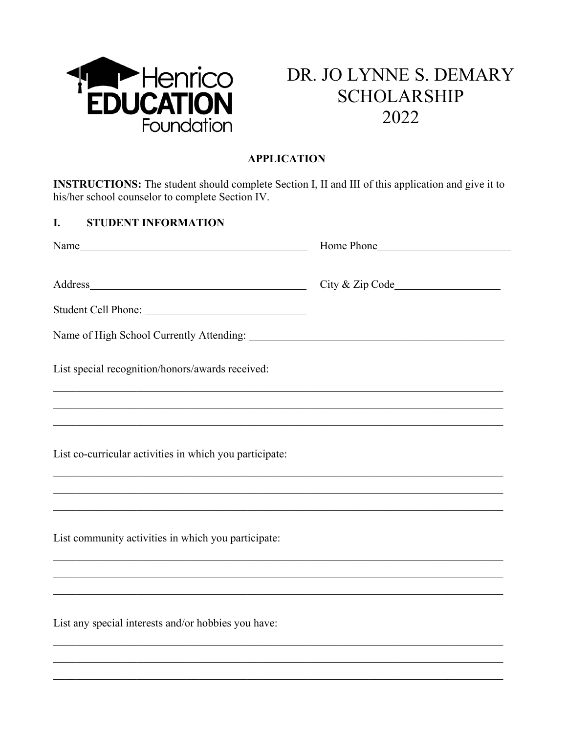

# DR. JO LYNNE S. DEMARY **SCHOLARSHIP** 2022

## **APPLICATION**

**INSTRUCTIONS:** The student should complete Section I, II and III of this application and give it to his/her school counselor to complete Section IV.

#### I. **STUDENT INFORMATION**

|                                                                                   | Home Phone |  |
|-----------------------------------------------------------------------------------|------------|--|
| Address                                                                           |            |  |
|                                                                                   |            |  |
| List special recognition/honors/awards received:                                  |            |  |
|                                                                                   |            |  |
|                                                                                   |            |  |
| List co-curricular activities in which you participate:                           |            |  |
|                                                                                   |            |  |
| List community activities in which you participate:                               |            |  |
| ,我们也不能在这里的时候,我们也不能在这里的时候,我们也不能会在这里的时候,我们也不能会在这里的时候,我们也不能会在这里的时候,我们也不能会在这里的时候,我们也不 |            |  |
| List any special interests and/or hobbies you have:                               |            |  |
|                                                                                   |            |  |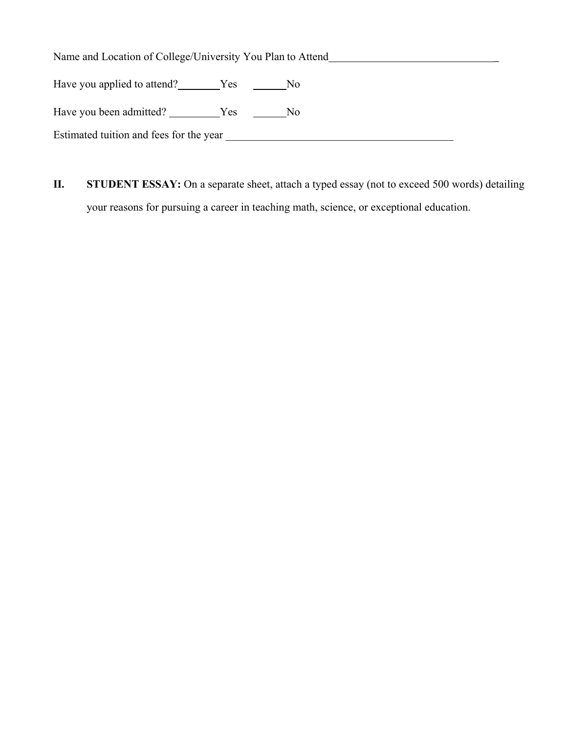Name and Location of College/University You Plan to Attend \_\_\_\_\_\_\_\_\_\_\_\_\_\_\_\_\_\_\_\_\_\_

Have you applied to attend? Ves No

Have you been admitted? \_\_\_\_\_\_\_\_\_Yes \_\_\_\_\_\_\_No

Estimated tuition and fees for the year \_\_\_\_\_\_\_\_\_\_\_\_\_\_\_\_\_\_\_\_\_\_\_\_\_\_\_\_\_\_\_\_\_\_\_\_\_\_\_\_\_

**II. STUDENT ESSAY:** On a separate sheet, attach a typed essay (not to exceed 500 words) detailing your reasons for pursuing a career in teaching math, science, or exceptional education.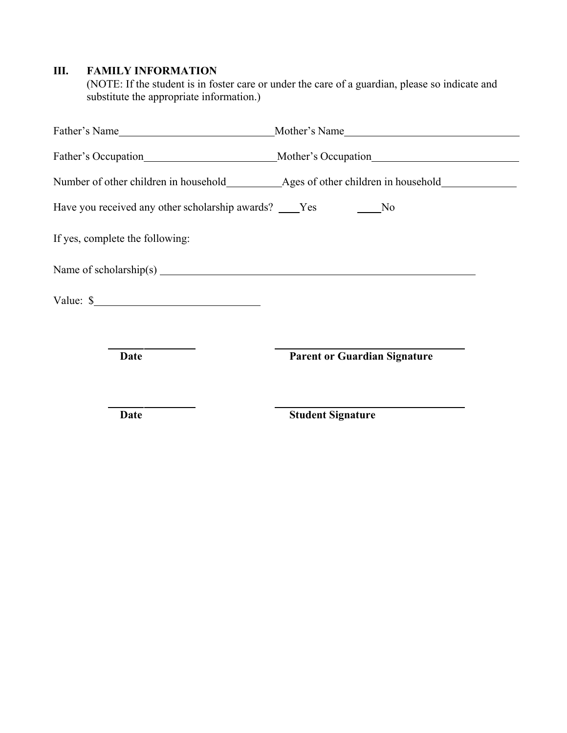## **III. FAMILY INFORMATION**

(NOTE: If the student is in foster care or under the care of a guardian, please so indicate and substitute the appropriate information.)

|                                                                      | Father's Occupation Mother's Occupation |  |
|----------------------------------------------------------------------|-----------------------------------------|--|
|                                                                      |                                         |  |
| Have you received any other scholarship awards? ____Yes __________No |                                         |  |
| If yes, complete the following:                                      |                                         |  |
| Name of scholarship(s) $\qquad \qquad$                               |                                         |  |
| Value: $\frac{\ }{}$                                                 |                                         |  |
|                                                                      |                                         |  |
| Date                                                                 | <b>Parent or Guardian Signature</b>     |  |
| Date                                                                 | <b>Student Signature</b>                |  |